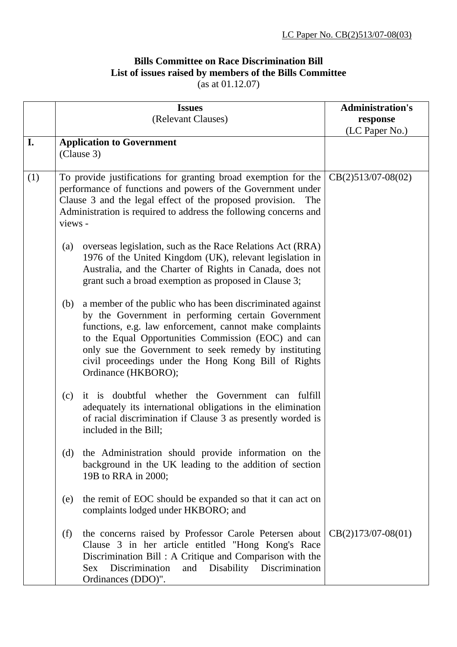## **Bills Committee on Race Discrimination Bill List of issues raised by members of the Bills Committee**  (as at 01.12.07)

|     |         | <b>Issues</b>                                                                                                                                                                                                                                                                                                                                                             | <b>Administration's</b>    |
|-----|---------|---------------------------------------------------------------------------------------------------------------------------------------------------------------------------------------------------------------------------------------------------------------------------------------------------------------------------------------------------------------------------|----------------------------|
|     |         | (Relevant Clauses)                                                                                                                                                                                                                                                                                                                                                        | response<br>(LC Paper No.) |
| I.  |         | <b>Application to Government</b>                                                                                                                                                                                                                                                                                                                                          |                            |
|     |         | (Clause 3)                                                                                                                                                                                                                                                                                                                                                                |                            |
| (1) | views - | To provide justifications for granting broad exemption for the<br>performance of functions and powers of the Government under<br>Clause 3 and the legal effect of the proposed provision.<br>The<br>Administration is required to address the following concerns and                                                                                                      | $CB(2)513/07-08(02)$       |
|     | (a)     | overseas legislation, such as the Race Relations Act (RRA)<br>1976 of the United Kingdom (UK), relevant legislation in<br>Australia, and the Charter of Rights in Canada, does not<br>grant such a broad exemption as proposed in Clause 3;                                                                                                                               |                            |
|     | (b)     | a member of the public who has been discriminated against<br>by the Government in performing certain Government<br>functions, e.g. law enforcement, cannot make complaints<br>to the Equal Opportunities Commission (EOC) and can<br>only sue the Government to seek remedy by instituting<br>civil proceedings under the Hong Kong Bill of Rights<br>Ordinance (HKBORO); |                            |
|     | (c)     | it is doubtful whether the Government can<br>fulfill<br>adequately its international obligations in the elimination<br>of racial discrimination if Clause 3 as presently worded is<br>included in the Bill;                                                                                                                                                               |                            |
|     | (d)     | the Administration should provide information on the<br>background in the UK leading to the addition of section<br>19B to RRA in 2000;                                                                                                                                                                                                                                    |                            |
|     | (e)     | the remit of EOC should be expanded so that it can act on<br>complaints lodged under HKBORO; and                                                                                                                                                                                                                                                                          |                            |
|     | (f)     | the concerns raised by Professor Carole Petersen about<br>Clause 3 in her article entitled "Hong Kong's Race<br>Discrimination Bill : A Critique and Comparison with the<br>Discrimination<br>and Disability Discrimination<br><b>Sex</b><br>Ordinances (DDO)".                                                                                                           | $CB(2)173/07-08(01)$       |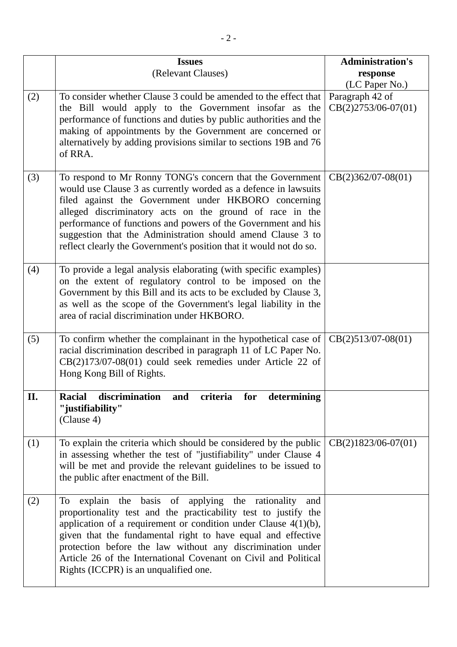|     | <b>Issues</b><br>(Relevant Clauses)                                                                                                                                                                                                                                                                                                                                                                                                                    | <b>Administration's</b><br>response<br>(LC Paper No.) |
|-----|--------------------------------------------------------------------------------------------------------------------------------------------------------------------------------------------------------------------------------------------------------------------------------------------------------------------------------------------------------------------------------------------------------------------------------------------------------|-------------------------------------------------------|
| (2) | To consider whether Clause 3 could be amended to the effect that<br>the Bill would apply to the Government insofar as the<br>performance of functions and duties by public authorities and the<br>making of appointments by the Government are concerned or<br>alternatively by adding provisions similar to sections 19B and 76<br>of RRA.                                                                                                            | Paragraph 42 of<br>$CB(2)2753/06-07(01)$              |
| (3) | To respond to Mr Ronny TONG's concern that the Government<br>would use Clause 3 as currently worded as a defence in lawsuits<br>filed against the Government under HKBORO concerning<br>alleged discriminatory acts on the ground of race in the<br>performance of functions and powers of the Government and his<br>suggestion that the Administration should amend Clause 3 to<br>reflect clearly the Government's position that it would not do so. | $CB(2)362/07-08(01)$                                  |
| (4) | To provide a legal analysis elaborating (with specific examples)<br>on the extent of regulatory control to be imposed on the<br>Government by this Bill and its acts to be excluded by Clause 3,<br>as well as the scope of the Government's legal liability in the<br>area of racial discrimination under HKBORO.                                                                                                                                     |                                                       |
| (5) | To confirm whether the complainant in the hypothetical case of $\left( \text{CB}(2)513/07-08(01) \right)$<br>racial discrimination described in paragraph 11 of LC Paper No.<br>$CB(2)173/07-08(01)$ could seek remedies under Article 22 of<br>Hong Kong Bill of Rights.                                                                                                                                                                              |                                                       |
| II. | discrimination and criteria for determining<br><b>Racial</b><br>"justifiability"<br>(Clause 4)                                                                                                                                                                                                                                                                                                                                                         |                                                       |
| (1) | To explain the criteria which should be considered by the public<br>in assessing whether the test of "justifiability" under Clause 4<br>will be met and provide the relevant guidelines to be issued to<br>the public after enactment of the Bill.                                                                                                                                                                                                     | $CB(2)1823/06-07(01)$                                 |
| (2) | To explain the basis of applying the rationality<br>and<br>proportionality test and the practicability test to justify the<br>application of a requirement or condition under Clause $4(1)(b)$ ,<br>given that the fundamental right to have equal and effective<br>protection before the law without any discrimination under<br>Article 26 of the International Covenant on Civil and Political<br>Rights (ICCPR) is an unqualified one.             |                                                       |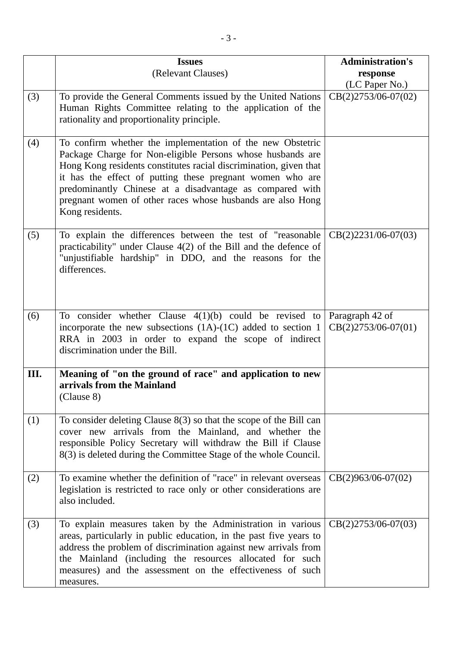|     | <b>Issues</b>                                                                                                                                                                                                                                                                                                                                                                                           | <b>Administration's</b>                  |
|-----|---------------------------------------------------------------------------------------------------------------------------------------------------------------------------------------------------------------------------------------------------------------------------------------------------------------------------------------------------------------------------------------------------------|------------------------------------------|
|     | (Relevant Clauses)                                                                                                                                                                                                                                                                                                                                                                                      | response                                 |
|     |                                                                                                                                                                                                                                                                                                                                                                                                         | (LC Paper No.)                           |
| (3) | To provide the General Comments issued by the United Nations<br>Human Rights Committee relating to the application of the<br>rationality and proportionality principle.                                                                                                                                                                                                                                 | CB(2)2753/06-07(02)                      |
| (4) | To confirm whether the implementation of the new Obstetric<br>Package Charge for Non-eligible Persons whose husbands are<br>Hong Kong residents constitutes racial discrimination, given that<br>it has the effect of putting these pregnant women who are<br>predominantly Chinese at a disadvantage as compared with<br>pregnant women of other races whose husbands are also Hong<br>Kong residents. |                                          |
| (5) | To explain the differences between the test of "reasonable"<br>practicability" under Clause $4(2)$ of the Bill and the defence of<br>"unjustifiable hardship" in DDO, and the reasons for the<br>differences.                                                                                                                                                                                           | $CB(2)2231/06-07(03)$                    |
| (6) | To consider whether Clause $4(1)(b)$ could be revised to<br>incorporate the new subsections $(1A)-(1C)$ added to section 1<br>RRA in 2003 in order to expand the scope of indirect<br>discrimination under the Bill.                                                                                                                                                                                    | Paragraph 42 of<br>$CB(2)2753/06-07(01)$ |
| Ш.  | Meaning of "on the ground of race" and application to new<br>arrivals from the Mainland<br>(Clause 8)                                                                                                                                                                                                                                                                                                   |                                          |
| (1) | To consider deleting Clause $8(3)$ so that the scope of the Bill can<br>cover new arrivals from the Mainland, and whether the<br>responsible Policy Secretary will withdraw the Bill if Clause<br>8(3) is deleted during the Committee Stage of the whole Council.                                                                                                                                      |                                          |
| (2) | To examine whether the definition of "race" in relevant overseas<br>legislation is restricted to race only or other considerations are<br>also included.                                                                                                                                                                                                                                                | $CB(2)963/06-07(02)$                     |
| (3) | To explain measures taken by the Administration in various<br>areas, particularly in public education, in the past five years to<br>address the problem of discrimination against new arrivals from<br>the Mainland (including the resources allocated for such<br>measures) and the assessment on the effectiveness of such<br>measures.                                                               | $CB(2)2753/06-07(03)$                    |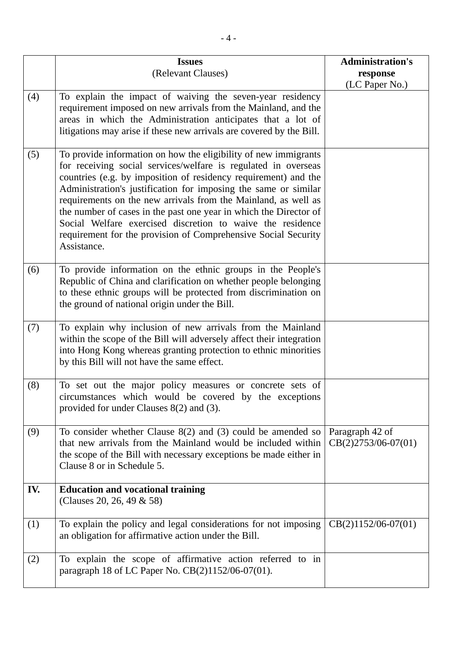|     | <b>Issues</b>                                                                                                                                                                                                                                                                                                                                                                                                                                                                                                                                                 | <b>Administration's</b>                  |
|-----|---------------------------------------------------------------------------------------------------------------------------------------------------------------------------------------------------------------------------------------------------------------------------------------------------------------------------------------------------------------------------------------------------------------------------------------------------------------------------------------------------------------------------------------------------------------|------------------------------------------|
|     | (Relevant Clauses)                                                                                                                                                                                                                                                                                                                                                                                                                                                                                                                                            | response<br>(LC Paper No.)               |
| (4) | To explain the impact of waiving the seven-year residency<br>requirement imposed on new arrivals from the Mainland, and the<br>areas in which the Administration anticipates that a lot of<br>litigations may arise if these new arrivals are covered by the Bill.                                                                                                                                                                                                                                                                                            |                                          |
| (5) | To provide information on how the eligibility of new immigrants<br>for receiving social services/welfare is regulated in overseas<br>countries (e.g. by imposition of residency requirement) and the<br>Administration's justification for imposing the same or similar<br>requirements on the new arrivals from the Mainland, as well as<br>the number of cases in the past one year in which the Director of<br>Social Welfare exercised discretion to waive the residence<br>requirement for the provision of Comprehensive Social Security<br>Assistance. |                                          |
| (6) | To provide information on the ethnic groups in the People's<br>Republic of China and clarification on whether people belonging<br>to these ethnic groups will be protected from discrimination on<br>the ground of national origin under the Bill.                                                                                                                                                                                                                                                                                                            |                                          |
| (7) | To explain why inclusion of new arrivals from the Mainland<br>within the scope of the Bill will adversely affect their integration<br>into Hong Kong whereas granting protection to ethnic minorities<br>by this Bill will not have the same effect.                                                                                                                                                                                                                                                                                                          |                                          |
| (8) | To set out the major policy measures or concrete sets of<br>circumstances which would be covered by the exceptions<br>provided for under Clauses 8(2) and (3).                                                                                                                                                                                                                                                                                                                                                                                                |                                          |
| (9) | To consider whether Clause $8(2)$ and (3) could be amended so<br>that new arrivals from the Mainland would be included within<br>the scope of the Bill with necessary exceptions be made either in<br>Clause 8 or in Schedule 5.                                                                                                                                                                                                                                                                                                                              | Paragraph 42 of<br>$CB(2)2753/06-07(01)$ |
| IV. | <b>Education and vocational training</b><br>(Clauses 20, 26, 49 & 58)                                                                                                                                                                                                                                                                                                                                                                                                                                                                                         |                                          |
| (1) | To explain the policy and legal considerations for not imposing<br>an obligation for affirmative action under the Bill.                                                                                                                                                                                                                                                                                                                                                                                                                                       | $CB(2)1152/06-07(01)$                    |
| (2) | To explain the scope of affirmative action referred to in<br>paragraph 18 of LC Paper No. CB(2)1152/06-07(01).                                                                                                                                                                                                                                                                                                                                                                                                                                                |                                          |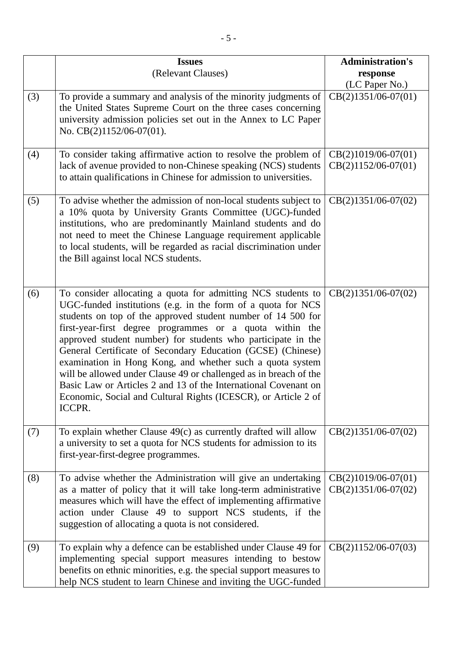|     | <b>Issues</b>                                                                                                                                                                                                                                                                                                                                                                                                                                                                                                                                                                                                                                                            | <b>Administration's</b>                        |
|-----|--------------------------------------------------------------------------------------------------------------------------------------------------------------------------------------------------------------------------------------------------------------------------------------------------------------------------------------------------------------------------------------------------------------------------------------------------------------------------------------------------------------------------------------------------------------------------------------------------------------------------------------------------------------------------|------------------------------------------------|
|     | (Relevant Clauses)                                                                                                                                                                                                                                                                                                                                                                                                                                                                                                                                                                                                                                                       | response                                       |
|     |                                                                                                                                                                                                                                                                                                                                                                                                                                                                                                                                                                                                                                                                          | (LC Paper No.)                                 |
| (3) | To provide a summary and analysis of the minority judgments of<br>the United States Supreme Court on the three cases concerning<br>university admission policies set out in the Annex to LC Paper<br>No. CB(2)1152/06-07(01).                                                                                                                                                                                                                                                                                                                                                                                                                                            | $CB(2)1351/06-07(01)$                          |
| (4) | To consider taking affirmative action to resolve the problem of<br>lack of avenue provided to non-Chinese speaking (NCS) students<br>to attain qualifications in Chinese for admission to universities.                                                                                                                                                                                                                                                                                                                                                                                                                                                                  | $CB(2)1019/06-07(01)$<br>$CB(2)1152/06-07(01)$ |
| (5) | To advise whether the admission of non-local students subject to<br>a 10% quota by University Grants Committee (UGC)-funded<br>institutions, who are predominantly Mainland students and do<br>not need to meet the Chinese Language requirement applicable<br>to local students, will be regarded as racial discrimination under<br>the Bill against local NCS students.                                                                                                                                                                                                                                                                                                | $CB(2)1351/06-07(02)$                          |
| (6) | To consider allocating a quota for admitting NCS students to<br>UGC-funded institutions (e.g. in the form of a quota for NCS<br>students on top of the approved student number of 14 500 for<br>first-year-first degree programmes or a quota within the<br>approved student number) for students who participate in the<br>General Certificate of Secondary Education (GCSE) (Chinese)<br>examination in Hong Kong, and whether such a quota system<br>will be allowed under Clause 49 or challenged as in breach of the<br>Basic Law or Articles 2 and 13 of the International Covenant on<br>Economic, Social and Cultural Rights (ICESCR), or Article 2 of<br>ICCPR. | $CB(2)1351/06-07(02)$                          |
| (7) | To explain whether Clause $49(c)$ as currently drafted will allow<br>a university to set a quota for NCS students for admission to its<br>first-year-first-degree programmes.                                                                                                                                                                                                                                                                                                                                                                                                                                                                                            | $CB(2)1351/06-07(02)$                          |
| (8) | To advise whether the Administration will give an undertaking<br>as a matter of policy that it will take long-term administrative<br>measures which will have the effect of implementing affirmative<br>action under Clause 49 to support NCS students, if the<br>suggestion of allocating a quota is not considered.                                                                                                                                                                                                                                                                                                                                                    | $CB(2)1019/06-07(01)$<br>$CB(2)1351/06-07(02)$ |
| (9) | To explain why a defence can be established under Clause 49 for<br>implementing special support measures intending to bestow<br>benefits on ethnic minorities, e.g. the special support measures to<br>help NCS student to learn Chinese and inviting the UGC-funded                                                                                                                                                                                                                                                                                                                                                                                                     | $CB(2)1152/06-07(03)$                          |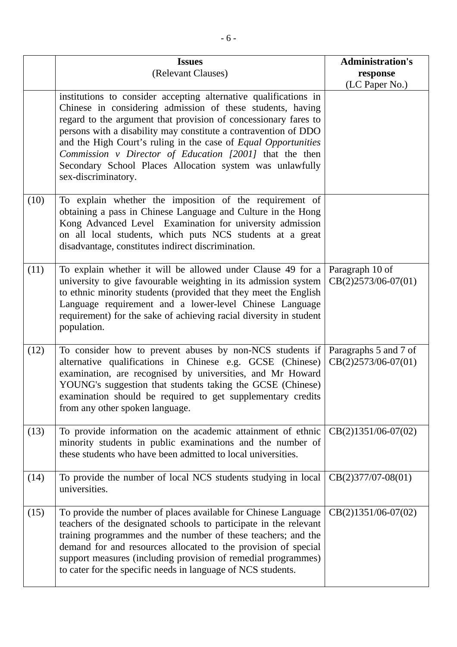|      | <b>Issues</b><br>(Relevant Clauses)                                                                                                                                                                                                                                                                                                                                                                              | <b>Administration's</b><br>response      |
|------|------------------------------------------------------------------------------------------------------------------------------------------------------------------------------------------------------------------------------------------------------------------------------------------------------------------------------------------------------------------------------------------------------------------|------------------------------------------|
|      | institutions to consider accepting alternative qualifications in                                                                                                                                                                                                                                                                                                                                                 | (LC Paper No.)                           |
|      | Chinese in considering admission of these students, having<br>regard to the argument that provision of concessionary fares to<br>persons with a disability may constitute a contravention of DDO<br>and the High Court's ruling in the case of Equal Opportunities<br>Commission v Director of Education [2001] that the then<br>Secondary School Places Allocation system was unlawfully<br>sex-discriminatory. |                                          |
| (10) | To explain whether the imposition of the requirement of<br>obtaining a pass in Chinese Language and Culture in the Hong<br>Kong Advanced Level Examination for university admission<br>on all local students, which puts NCS students at a great<br>disadvantage, constitutes indirect discrimination.                                                                                                           |                                          |
| (11) | To explain whether it will be allowed under Clause 49 for a<br>university to give favourable weighting in its admission system<br>to ethnic minority students (provided that they meet the English<br>Language requirement and a lower-level Chinese Language<br>requirement) for the sake of achieving racial diversity in student<br>population.                                                               | Paragraph 10 of<br>$CB(2)2573/06-07(01)$ |
| (12) | To consider how to prevent abuses by non-NCS students if Paragraphs 5 and 7 of<br>alternative qualifications in Chinese e.g. GCSE (Chinese)<br>examination, are recognised by universities, and Mr Howard<br>YOUNG's suggestion that students taking the GCSE (Chinese)<br>examination should be required to get supplementary credits<br>from any other spoken language.                                        | $CB(2)2573/06-07(01)$                    |
| (13) | To provide information on the academic attainment of ethnic<br>minority students in public examinations and the number of<br>these students who have been admitted to local universities.                                                                                                                                                                                                                        | $CB(2)1351/06-07(02)$                    |
| (14) | To provide the number of local NCS students studying in local<br>universities.                                                                                                                                                                                                                                                                                                                                   | $CB(2)377/07-08(01)$                     |
| (15) | To provide the number of places available for Chinese Language<br>teachers of the designated schools to participate in the relevant<br>training programmes and the number of these teachers; and the<br>demand for and resources allocated to the provision of special<br>support measures (including provision of remedial programmes)<br>to cater for the specific needs in language of NCS students.          | $CB(2)1351/06-07(02)$                    |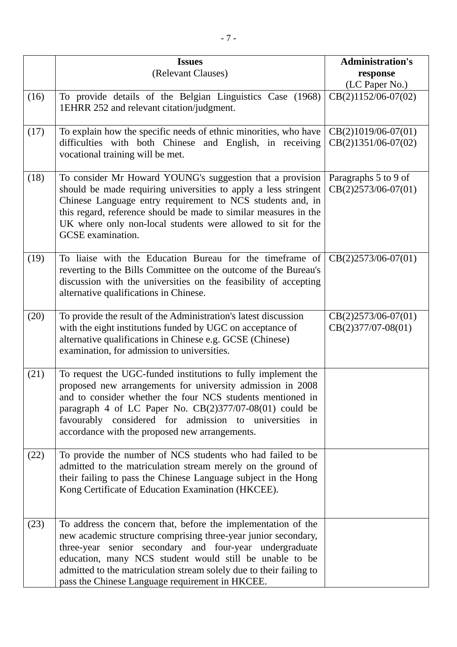|      | <b>Issues</b>                                                                                                                                                                                                                                                                                                                                                                   | <b>Administration's</b>                        |
|------|---------------------------------------------------------------------------------------------------------------------------------------------------------------------------------------------------------------------------------------------------------------------------------------------------------------------------------------------------------------------------------|------------------------------------------------|
|      | (Relevant Clauses)                                                                                                                                                                                                                                                                                                                                                              | response                                       |
|      |                                                                                                                                                                                                                                                                                                                                                                                 | (LC Paper No.)                                 |
| (16) | To provide details of the Belgian Linguistics Case (1968)<br>1EHRR 252 and relevant citation/judgment.                                                                                                                                                                                                                                                                          | $CB(2)1152/06-07(02)$                          |
| (17) | To explain how the specific needs of ethnic minorities, who have<br>difficulties with both Chinese and English, in receiving<br>vocational training will be met.                                                                                                                                                                                                                | $CB(2)1019/06-07(01)$<br>$CB(2)1351/06-07(02)$ |
| (18) | To consider Mr Howard YOUNG's suggestion that a provision<br>should be made requiring universities to apply a less stringent<br>Chinese Language entry requirement to NCS students and, in<br>this regard, reference should be made to similar measures in the<br>UK where only non-local students were allowed to sit for the<br>GCSE examination.                             | Paragraphs 5 to 9 of<br>$CB(2)2573/06-07(01)$  |
| (19) | To liaise with the Education Bureau for the timeframe of<br>reverting to the Bills Committee on the outcome of the Bureau's<br>discussion with the universities on the feasibility of accepting<br>alternative qualifications in Chinese.                                                                                                                                       | $CB(2)2573/06-07(01)$                          |
| (20) | To provide the result of the Administration's latest discussion<br>with the eight institutions funded by UGC on acceptance of<br>alternative qualifications in Chinese e.g. GCSE (Chinese)<br>examination, for admission to universities.                                                                                                                                       | CB(2)2573/06-07(01)<br>$CB(2)377/07-08(01)$    |
| (21) | To request the UGC-funded institutions to fully implement the<br>proposed new arrangements for university admission in 2008<br>and to consider whether the four NCS students mentioned in<br>paragraph 4 of LC Paper No. $CB(2)377/07-08(01)$ could be<br>favourably considered for admission to universities in<br>accordance with the proposed new arrangements.              |                                                |
| (22) | To provide the number of NCS students who had failed to be<br>admitted to the matriculation stream merely on the ground of<br>their failing to pass the Chinese Language subject in the Hong<br>Kong Certificate of Education Examination (HKCEE).                                                                                                                              |                                                |
| (23) | To address the concern that, before the implementation of the<br>new academic structure comprising three-year junior secondary,<br>three-year senior secondary and four-year undergraduate<br>education, many NCS student would still be unable to be<br>admitted to the matriculation stream solely due to their failing to<br>pass the Chinese Language requirement in HKCEE. |                                                |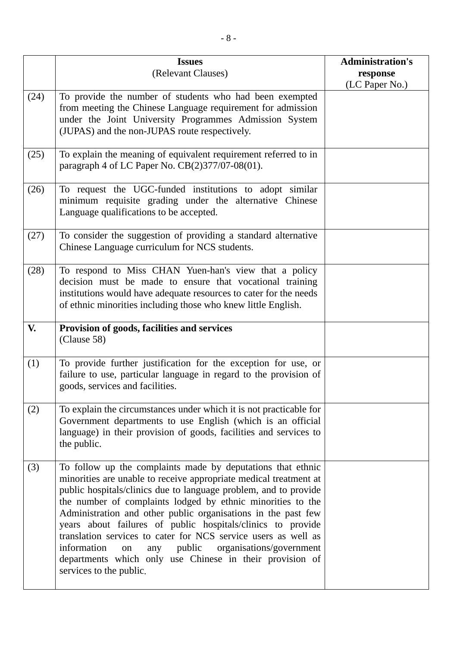|      | <b>Issues</b><br>(Relevant Clauses)                                                                                                                                                                                                                                                                                                                                                                                                                                                                                                                                                                                            | <b>Administration's</b><br>response |
|------|--------------------------------------------------------------------------------------------------------------------------------------------------------------------------------------------------------------------------------------------------------------------------------------------------------------------------------------------------------------------------------------------------------------------------------------------------------------------------------------------------------------------------------------------------------------------------------------------------------------------------------|-------------------------------------|
|      |                                                                                                                                                                                                                                                                                                                                                                                                                                                                                                                                                                                                                                | (LC Paper No.)                      |
| (24) | To provide the number of students who had been exempted<br>from meeting the Chinese Language requirement for admission<br>under the Joint University Programmes Admission System<br>(JUPAS) and the non-JUPAS route respectively.                                                                                                                                                                                                                                                                                                                                                                                              |                                     |
| (25) | To explain the meaning of equivalent requirement referred to in<br>paragraph 4 of LC Paper No. CB(2)377/07-08(01).                                                                                                                                                                                                                                                                                                                                                                                                                                                                                                             |                                     |
| (26) | To request the UGC-funded institutions to adopt similar<br>minimum requisite grading under the alternative Chinese<br>Language qualifications to be accepted.                                                                                                                                                                                                                                                                                                                                                                                                                                                                  |                                     |
| (27) | To consider the suggestion of providing a standard alternative<br>Chinese Language curriculum for NCS students.                                                                                                                                                                                                                                                                                                                                                                                                                                                                                                                |                                     |
| (28) | To respond to Miss CHAN Yuen-han's view that a policy<br>decision must be made to ensure that vocational training<br>institutions would have adequate resources to cater for the needs<br>of ethnic minorities including those who knew little English.                                                                                                                                                                                                                                                                                                                                                                        |                                     |
| V.   | Provision of goods, facilities and services<br>(Clause 58)                                                                                                                                                                                                                                                                                                                                                                                                                                                                                                                                                                     |                                     |
| (1)  | To provide further justification for the exception for use, or<br>failure to use, particular language in regard to the provision of<br>goods, services and facilities.                                                                                                                                                                                                                                                                                                                                                                                                                                                         |                                     |
| (2)  | To explain the circumstances under which it is not practicable for<br>Government departments to use English (which is an official<br>language) in their provision of goods, facilities and services to<br>the public.                                                                                                                                                                                                                                                                                                                                                                                                          |                                     |
| (3)  | To follow up the complaints made by deputations that ethnic<br>minorities are unable to receive appropriate medical treatment at<br>public hospitals/clinics due to language problem, and to provide<br>the number of complaints lodged by ethnic minorities to the<br>Administration and other public organisations in the past few<br>years about failures of public hospitals/clinics to provide<br>translation services to cater for NCS service users as well as<br>information<br>public<br>organisations/government<br>any<br>on<br>departments which only use Chinese in their provision of<br>services to the public. |                                     |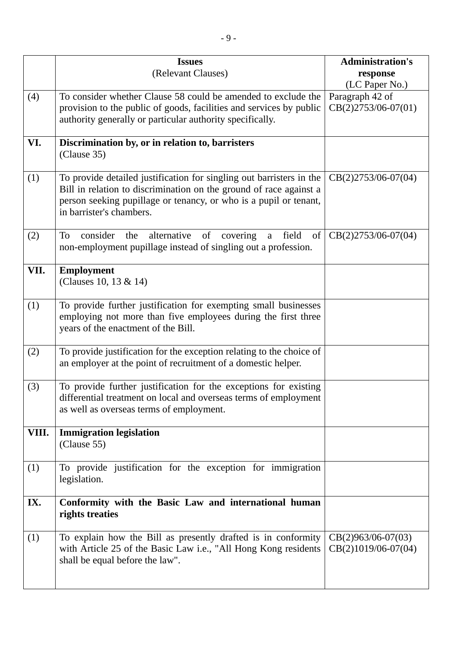|       | <b>Issues</b>                                                                                                                                      | <b>Administration's</b>                       |
|-------|----------------------------------------------------------------------------------------------------------------------------------------------------|-----------------------------------------------|
|       | (Relevant Clauses)                                                                                                                                 | response                                      |
| (4)   | To consider whether Clause 58 could be amended to exclude the                                                                                      | (LC Paper No.)<br>Paragraph 42 of             |
|       | provision to the public of goods, facilities and services by public                                                                                | $CB(2)2753/06-07(01)$                         |
|       | authority generally or particular authority specifically.                                                                                          |                                               |
|       |                                                                                                                                                    |                                               |
| VI.   | Discrimination by, or in relation to, barristers                                                                                                   |                                               |
|       | (Clause 35)                                                                                                                                        |                                               |
| (1)   | To provide detailed justification for singling out barristers in the                                                                               | $CB(2)2753/06-07(04)$                         |
|       | Bill in relation to discrimination on the ground of race against a                                                                                 |                                               |
|       | person seeking pupillage or tenancy, or who is a pupil or tenant,                                                                                  |                                               |
|       | in barrister's chambers.                                                                                                                           |                                               |
|       |                                                                                                                                                    |                                               |
| (2)   | alternative<br>field<br>To<br>consider<br>of<br>covering<br>$\sigma$<br>the<br>a<br>non-employment pupillage instead of singling out a profession. | $CB(2)2753/06-07(04)$                         |
|       |                                                                                                                                                    |                                               |
| VII.  | <b>Employment</b>                                                                                                                                  |                                               |
|       | (Clauses 10, 13 & 14)                                                                                                                              |                                               |
|       |                                                                                                                                                    |                                               |
| (1)   | To provide further justification for exempting small businesses                                                                                    |                                               |
|       | employing not more than five employees during the first three<br>years of the enactment of the Bill.                                               |                                               |
|       |                                                                                                                                                    |                                               |
| (2)   | To provide justification for the exception relating to the choice of                                                                               |                                               |
|       | an employer at the point of recruitment of a domestic helper.                                                                                      |                                               |
|       |                                                                                                                                                    |                                               |
| (3)   | To provide further justification for the exceptions for existing<br>differential treatment on local and overseas terms of employment               |                                               |
|       | as well as overseas terms of employment.                                                                                                           |                                               |
|       |                                                                                                                                                    |                                               |
| VIII. | <b>Immigration legislation</b>                                                                                                                     |                                               |
|       | (Clause 55)                                                                                                                                        |                                               |
|       |                                                                                                                                                    |                                               |
| (1)   | To provide justification for the exception for immigration<br>legislation.                                                                         |                                               |
|       |                                                                                                                                                    |                                               |
| IX.   | Conformity with the Basic Law and international human                                                                                              |                                               |
|       | rights treaties                                                                                                                                    |                                               |
|       |                                                                                                                                                    |                                               |
| (1)   | To explain how the Bill as presently drafted is in conformity<br>with Article 25 of the Basic Law i.e., "All Hong Kong residents                   | $CB(2)963/06-07(03)$<br>$CB(2)1019/06-07(04)$ |
|       | shall be equal before the law".                                                                                                                    |                                               |
|       |                                                                                                                                                    |                                               |
|       |                                                                                                                                                    |                                               |